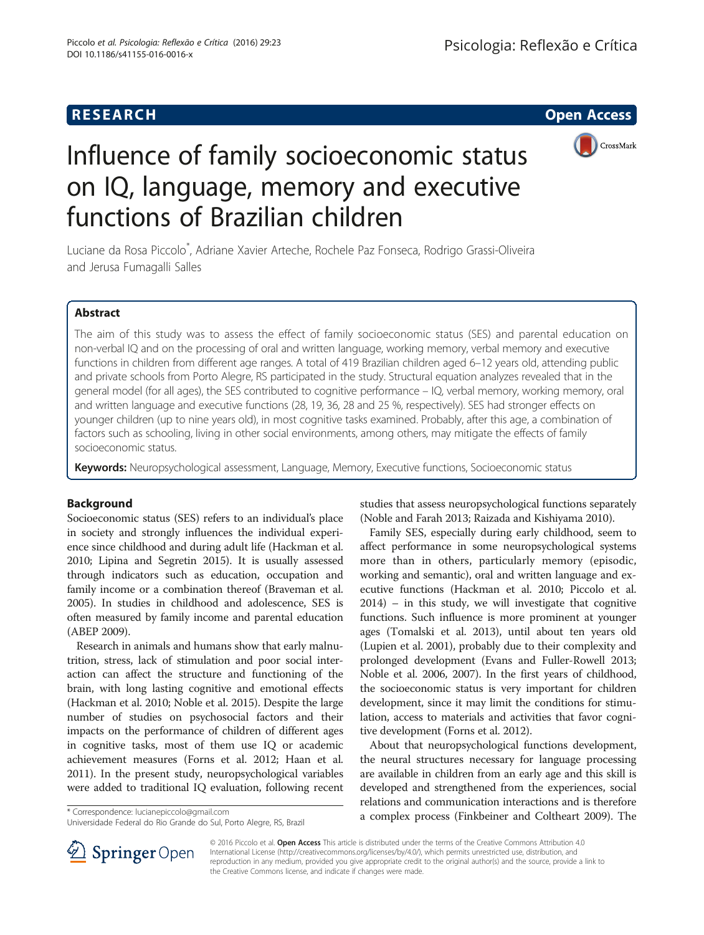# **RESEARCH CHE Open Access**

 $\sigma$ 



# Influence of family socioeconomic status on IQ, language, memory and executive functions of Brazilian children

Luciane da Rosa Piccolo<sup>\*</sup>, Adriane Xavier Arteche, Rochele Paz Fonseca, Rodrigo Grassi-Oliveira and Jerusa Fumagalli Salles

## Abstract

The aim of this study was to assess the effect of family socioeconomic status (SES) and parental education on non-verbal IQ and on the processing of oral and written language, working memory, verbal memory and executive functions in children from different age ranges. A total of 419 Brazilian children aged 6–12 years old, attending public and private schools from Porto Alegre, RS participated in the study. Structural equation analyzes revealed that in the general model (for all ages), the SES contributed to cognitive performance – IQ, verbal memory, working memory, oral and written language and executive functions (28, 19, 36, 28 and 25 %, respectively). SES had stronger effects on younger children (up to nine years old), in most cognitive tasks examined. Probably, after this age, a combination of factors such as schooling, living in other social environments, among others, may mitigate the effects of family socioeconomic status.

Keywords: Neuropsychological assessment, Language, Memory, Executive functions, Socioeconomic status

### Background

Socioeconomic status (SES) refers to an individual's place in society and strongly influences the individual experience since childhood and during adult life (Hackman et al. [2010;](#page-8-0) Lipina and Segretin [2015](#page-9-0)). It is usually assessed through indicators such as education, occupation and family income or a combination thereof (Braveman et al. [2005\)](#page-8-0). In studies in childhood and adolescence, SES is often measured by family income and parental education (ABEP [2009](#page-8-0)).

Research in animals and humans show that early malnutrition, stress, lack of stimulation and poor social interaction can affect the structure and functioning of the brain, with long lasting cognitive and emotional effects (Hackman et al. [2010](#page-8-0); Noble et al. [2015](#page-9-0)). Despite the large number of studies on psychosocial factors and their impacts on the performance of children of different ages in cognitive tasks, most of them use IQ or academic achievement measures (Forns et al. [2012;](#page-8-0) Haan et al. [2011\)](#page-8-0). In the present study, neuropsychological variables were added to traditional IQ evaluation, following recent

studies that assess neuropsychological functions separately (Noble and Farah [2013](#page-9-0); Raizada and Kishiyama [2010](#page-9-0)).

Family SES, especially during early childhood, seem to affect performance in some neuropsychological systems more than in others, particularly memory (episodic, working and semantic), oral and written language and executive functions (Hackman et al. [2010;](#page-8-0) Piccolo et al. [2014](#page-9-0)) – in this study, we will investigate that cognitive functions. Such influence is more prominent at younger ages (Tomalski et al. [2013](#page-9-0)), until about ten years old (Lupien et al. [2001](#page-9-0)), probably due to their complexity and prolonged development (Evans and Fuller-Rowell [2013](#page-8-0); Noble et al. [2006, 2007](#page-9-0)). In the first years of childhood, the socioeconomic status is very important for children development, since it may limit the conditions for stimulation, access to materials and activities that favor cognitive development (Forns et al. [2012](#page-8-0)).

About that neuropsychological functions development, the neural structures necessary for language processing are available in children from an early age and this skill is developed and strengthened from the experiences, social relations and communication interactions and is therefore a complex process (Finkbeiner and Coltheart [2009\)](#page-8-0). The \* Correspondence: [lucianepiccolo@gmail.com](mailto:lucianepiccolo@gmail.com)



© 2016 Piccolo et al. Open Access This article is distributed under the terms of the Creative Commons Attribution 4.0 International License ([http://creativecommons.org/licenses/by/4.0/\)](http://creativecommons.org/licenses/by/4.0/), which permits unrestricted use, distribution, and reproduction in any medium, provided you give appropriate credit to the original author(s) and the source, provide a link to the Creative Commons license, and indicate if changes were made.

Universidade Federal do Rio Grande do Sul, Porto Alegre, RS, Brazil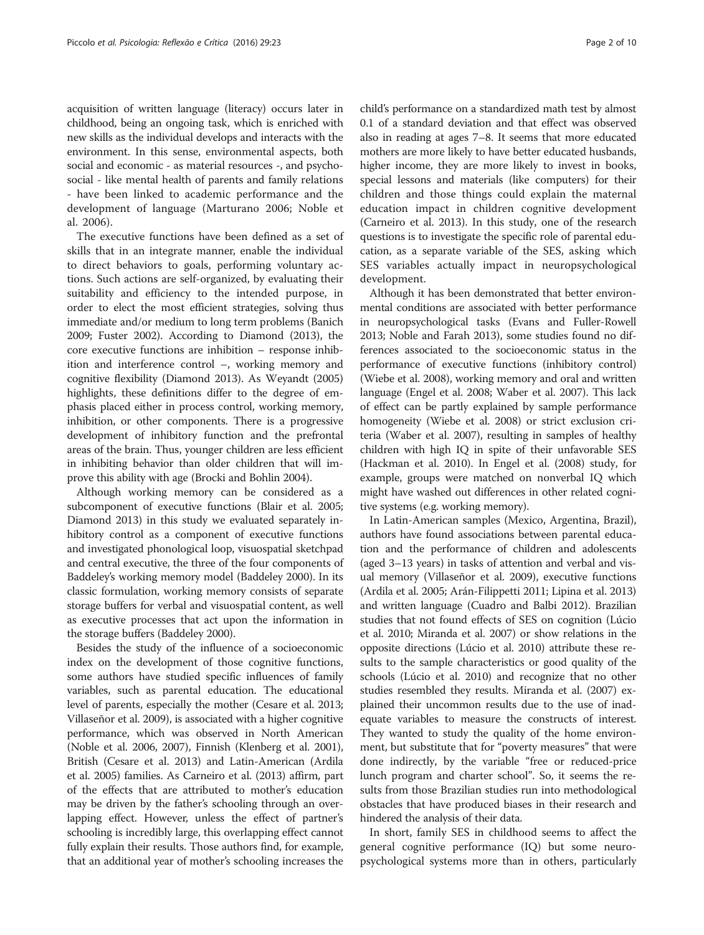acquisition of written language (literacy) occurs later in childhood, being an ongoing task, which is enriched with new skills as the individual develops and interacts with the environment. In this sense, environmental aspects, both social and economic - as material resources -, and psychosocial - like mental health of parents and family relations - have been linked to academic performance and the development of language (Marturano [2006;](#page-9-0) Noble et al. [2006](#page-9-0)).

The executive functions have been defined as a set of skills that in an integrate manner, enable the individual to direct behaviors to goals, performing voluntary actions. Such actions are self-organized, by evaluating their suitability and efficiency to the intended purpose, in order to elect the most efficient strategies, solving thus immediate and/or medium to long term problems (Banich [2009;](#page-8-0) Fuster [2002](#page-8-0)). According to Diamond [\(2013\)](#page-8-0), the core executive functions are inhibition – response inhibition and interference control –, working memory and cognitive flexibility (Diamond [2013\)](#page-8-0). As Weyandt [\(2005](#page-9-0)) highlights, these definitions differ to the degree of emphasis placed either in process control, working memory, inhibition, or other components. There is a progressive development of inhibitory function and the prefrontal areas of the brain. Thus, younger children are less efficient in inhibiting behavior than older children that will improve this ability with age (Brocki and Bohlin [2004\)](#page-8-0).

Although working memory can be considered as a subcomponent of executive functions (Blair et al. [2005](#page-8-0); Diamond [2013](#page-8-0)) in this study we evaluated separately inhibitory control as a component of executive functions and investigated phonological loop, visuospatial sketchpad and central executive, the three of the four components of Baddeley's working memory model (Baddeley [2000\)](#page-8-0). In its classic formulation, working memory consists of separate storage buffers for verbal and visuospatial content, as well as executive processes that act upon the information in the storage buffers (Baddeley [2000](#page-8-0)).

Besides the study of the influence of a socioeconomic index on the development of those cognitive functions, some authors have studied specific influences of family variables, such as parental education. The educational level of parents, especially the mother (Cesare et al. [2013](#page-8-0); Villaseñor et al. [2009](#page-9-0)), is associated with a higher cognitive performance, which was observed in North American (Noble et al. [2006](#page-9-0), [2007](#page-9-0)), Finnish (Klenberg et al. [2001](#page-9-0)), British (Cesare et al. [2013](#page-8-0)) and Latin-American (Ardila et al. [2005\)](#page-8-0) families. As Carneiro et al. [\(2013\)](#page-8-0) affirm, part of the effects that are attributed to mother's education may be driven by the father's schooling through an overlapping effect. However, unless the effect of partner's schooling is incredibly large, this overlapping effect cannot fully explain their results. Those authors find, for example, that an additional year of mother's schooling increases the child's performance on a standardized math test by almost 0.1 of a standard deviation and that effect was observed also in reading at ages 7–8. It seems that more educated mothers are more likely to have better educated husbands, higher income, they are more likely to invest in books,

special lessons and materials (like computers) for their children and those things could explain the maternal education impact in children cognitive development (Carneiro et al. [2013](#page-8-0)). In this study, one of the research questions is to investigate the specific role of parental education, as a separate variable of the SES, asking which SES variables actually impact in neuropsychological development.

Although it has been demonstrated that better environmental conditions are associated with better performance in neuropsychological tasks (Evans and Fuller-Rowell [2013](#page-8-0); Noble and Farah [2013](#page-9-0)), some studies found no differences associated to the socioeconomic status in the performance of executive functions (inhibitory control) (Wiebe et al. [2008](#page-9-0)), working memory and oral and written language (Engel et al. [2008](#page-8-0); Waber et al. [2007\)](#page-9-0). This lack of effect can be partly explained by sample performance homogeneity (Wiebe et al. [2008](#page-9-0)) or strict exclusion criteria (Waber et al. [2007](#page-9-0)), resulting in samples of healthy children with high IQ in spite of their unfavorable SES (Hackman et al. [2010](#page-8-0)). In Engel et al. [\(2008\)](#page-8-0) study, for example, groups were matched on nonverbal IQ which might have washed out differences in other related cognitive systems (e.g. working memory).

In Latin-American samples (Mexico, Argentina, Brazil), authors have found associations between parental education and the performance of children and adolescents (aged 3–13 years) in tasks of attention and verbal and visual memory (Villaseñor et al. [2009](#page-9-0)), executive functions (Ardila et al. [2005](#page-8-0); Arán-Filippetti [2011](#page-8-0); Lipina et al. [2013](#page-9-0)) and written language (Cuadro and Balbi [2012](#page-8-0)). Brazilian studies that not found effects of SES on cognition (Lúcio et al. [2010](#page-9-0); Miranda et al. [2007](#page-9-0)) or show relations in the opposite directions (Lúcio et al. [2010\)](#page-9-0) attribute these results to the sample characteristics or good quality of the schools (Lúcio et al. [2010\)](#page-9-0) and recognize that no other studies resembled they results. Miranda et al. ([2007\)](#page-9-0) explained their uncommon results due to the use of inadequate variables to measure the constructs of interest. They wanted to study the quality of the home environment, but substitute that for "poverty measures" that were done indirectly, by the variable "free or reduced-price lunch program and charter school". So, it seems the results from those Brazilian studies run into methodological obstacles that have produced biases in their research and hindered the analysis of their data.

In short, family SES in childhood seems to affect the general cognitive performance (IQ) but some neuropsychological systems more than in others, particularly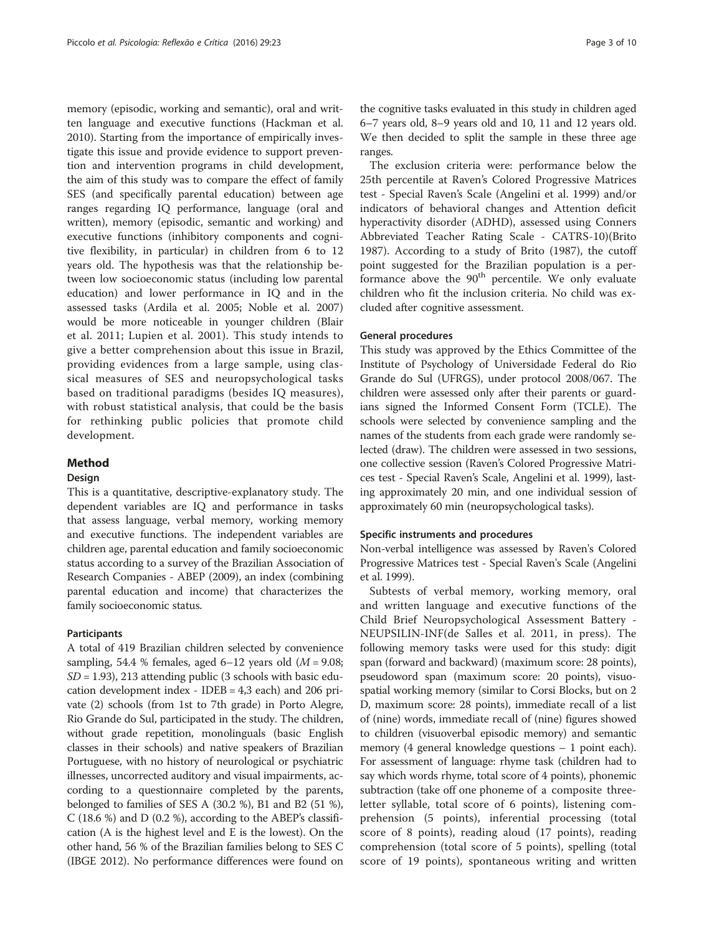memory (episodic, working and semantic), oral and written language and executive functions (Hackman et al. [2010](#page-8-0)). Starting from the importance of empirically investigate this issue and provide evidence to support prevention and intervention programs in child development, the aim of this study was to compare the effect of family SES (and specifically parental education) between age ranges regarding IQ performance, language (oral and written), memory (episodic, semantic and working) and executive functions (inhibitory components and cognitive flexibility, in particular) in children from 6 to 12 years old. The hypothesis was that the relationship between low socioeconomic status (including low parental education) and lower performance in IQ and in the assessed tasks (Ardila et al. [2005;](#page-8-0) Noble et al. [2007](#page-9-0)) would be more noticeable in younger children (Blair et al. [2011](#page-8-0); Lupien et al. [2001\)](#page-9-0). This study intends to give a better comprehension about this issue in Brazil, providing evidences from a large sample, using classical measures of SES and neuropsychological tasks based on traditional paradigms (besides IQ measures), with robust statistical analysis, that could be the basis for rethinking public policies that promote child development.

#### Method

#### Design

This is a quantitative, descriptive-explanatory study. The dependent variables are IQ and performance in tasks that assess language, verbal memory, working memory and executive functions. The independent variables are children age, parental education and family socioeconomic status according to a survey of the Brazilian Association of Research Companies - ABEP ([2009\)](#page-8-0), an index (combining parental education and income) that characterizes the family socioeconomic status.

#### **Participants**

A total of 419 Brazilian children selected by convenience sampling, 54.4 % females, aged  $6-12$  years old ( $M = 9.08$ ;  $SD = 1.93$ ), 213 attending public (3 schools with basic education development index - IDEB = 4,3 each) and 206 private (2) schools (from 1st to 7th grade) in Porto Alegre, Rio Grande do Sul, participated in the study. The children, without grade repetition, monolinguals (basic English classes in their schools) and native speakers of Brazilian Portuguese, with no history of neurological or psychiatric illnesses, uncorrected auditory and visual impairments, according to a questionnaire completed by the parents, belonged to families of SES A (30.2 %), B1 and B2 (51 %), C (18.6 %) and D (0.2 %), according to the ABEP's classification (A is the highest level and E is the lowest). On the other hand, 56 % of the Brazilian families belong to SES C (IBGE [2012](#page-8-0)). No performance differences were found on

the cognitive tasks evaluated in this study in children aged 6–7 years old, 8–9 years old and 10, 11 and 12 years old. We then decided to split the sample in these three age ranges.

The exclusion criteria were: performance below the 25th percentile at Raven's Colored Progressive Matrices test - Special Raven's Scale (Angelini et al. [1999](#page-8-0)) and/or indicators of behavioral changes and Attention deficit hyperactivity disorder (ADHD), assessed using Conners Abbreviated Teacher Rating Scale - CATRS-10)(Brito [1987](#page-8-0)). According to a study of Brito [\(1987\)](#page-8-0), the cutoff point suggested for the Brazilian population is a performance above the 90<sup>th</sup> percentile. We only evaluate children who fit the inclusion criteria. No child was excluded after cognitive assessment.

#### General procedures

This study was approved by the Ethics Committee of the Institute of Psychology of Universidade Federal do Rio Grande do Sul (UFRGS), under protocol 2008/067. The children were assessed only after their parents or guardians signed the Informed Consent Form (TCLE). The schools were selected by convenience sampling and the names of the students from each grade were randomly selected (draw). The children were assessed in two sessions, one collective session (Raven's Colored Progressive Matrices test - Special Raven's Scale, Angelini et al. [1999](#page-8-0)), lasting approximately 20 min, and one individual session of approximately 60 min (neuropsychological tasks).

#### Specific instruments and procedures

Non-verbal intelligence was assessed by Raven's Colored Progressive Matrices test - Special Raven's Scale (Angelini et al. [1999](#page-8-0)).

Subtests of verbal memory, working memory, oral and written language and executive functions of the Child Brief Neuropsychological Assessment Battery - NEUPSILIN-INF(de Salles et al. [2011,](#page-8-0) [in press\)](#page-9-0). The following memory tasks were used for this study: digit span (forward and backward) (maximum score: 28 points), pseudoword span (maximum score: 20 points), visuospatial working memory (similar to Corsi Blocks, but on 2 D, maximum score: 28 points), immediate recall of a list of (nine) words, immediate recall of (nine) figures showed to children (visuoverbal episodic memory) and semantic memory (4 general knowledge questions – 1 point each). For assessment of language: rhyme task (children had to say which words rhyme, total score of 4 points), phonemic subtraction (take off one phoneme of a composite threeletter syllable, total score of 6 points), listening comprehension (5 points), inferential processing (total score of 8 points), reading aloud (17 points), reading comprehension (total score of 5 points), spelling (total score of 19 points), spontaneous writing and written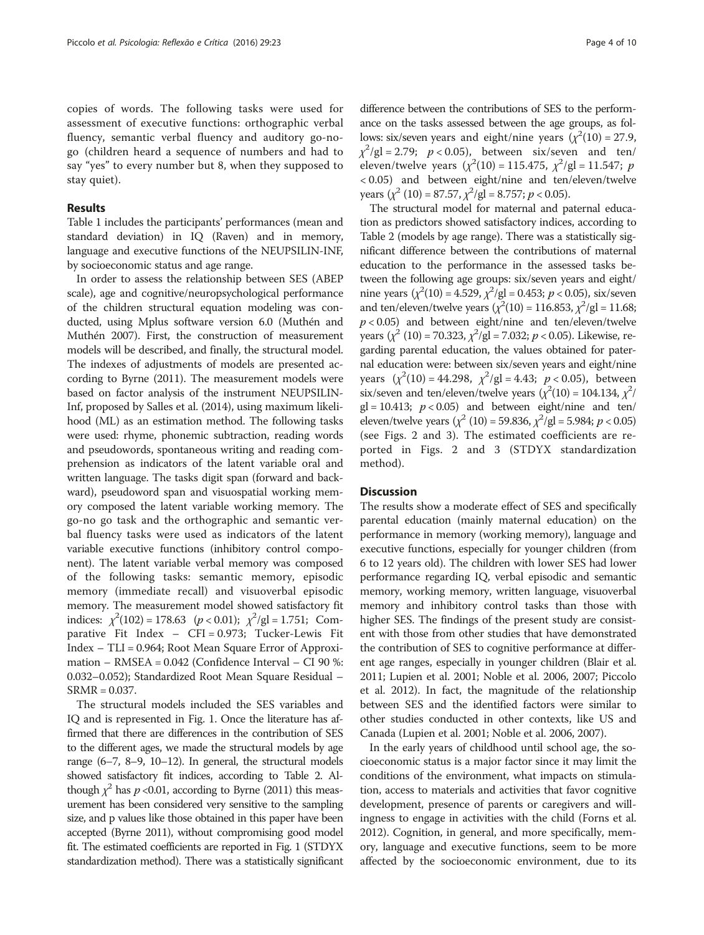copies of words. The following tasks were used for assessment of executive functions: orthographic verbal fluency, semantic verbal fluency and auditory go-nogo (children heard a sequence of numbers and had to say "yes" to every number but 8, when they supposed to stay quiet).

#### Results

Table [1](#page-4-0) includes the participants' performances (mean and standard deviation) in IQ (Raven) and in memory, language and executive functions of the NEUPSILIN-INF, by socioeconomic status and age range.

In order to assess the relationship between SES (ABEP scale), age and cognitive/neuropsychological performance of the children structural equation modeling was conducted, using Mplus software version 6.0 (Muthén and Muthén [2007](#page-9-0)). First, the construction of measurement models will be described, and finally, the structural model. The indexes of adjustments of models are presented according to Byrne [\(2011](#page-8-0)). The measurement models were based on factor analysis of the instrument NEUPSILIN-Inf, proposed by Salles et al. [\(2014\)](#page-9-0), using maximum likelihood (ML) as an estimation method. The following tasks were used: rhyme, phonemic subtraction, reading words and pseudowords, spontaneous writing and reading comprehension as indicators of the latent variable oral and written language. The tasks digit span (forward and backward), pseudoword span and visuospatial working memory composed the latent variable working memory. The go-no go task and the orthographic and semantic verbal fluency tasks were used as indicators of the latent variable executive functions (inhibitory control component). The latent variable verbal memory was composed of the following tasks: semantic memory, episodic memory (immediate recall) and visuoverbal episodic memory. The measurement model showed satisfactory fit indices:  $\chi^2(102) = 178.63$   $(p < 0.01)$ ;  $\chi^2/gl = 1.751$ ; Comparative Fit Index – CFI – 0.973; Tucker-Lewis Fit parative Fit Index – CFI = 0.973; Tucker-Lewis Fit Index – TLI = 0.964; Root Mean Square Error of Approximation – RMSEA = 0.042 (Confidence Interval – CI 90 %: 0.032–0.052); Standardized Root Mean Square Residual – SRMR = 0.037.

The structural models included the SES variables and IQ and is represented in Fig. [1.](#page-5-0) Once the literature has affirmed that there are differences in the contribution of SES to the different ages, we made the structural models by age range (6–7, 8–9, 10–12). In general, the structural models showed satisfactory fit indices, according to Table [2.](#page-6-0) Although  $\chi^2$  has  $p < 0.01$ , according to Byrne [\(2011](#page-8-0)) this meas-<br>urgment has been considered very sensitive to the sampling urement has been considered very sensitive to the sampling size, and p values like those obtained in this paper have been accepted (Byrne [2011\)](#page-8-0), without compromising good model fit. The estimated coefficients are reported in Fig. [1](#page-5-0) (STDYX standardization method). There was a statistically significant

difference between the contributions of SES to the performance on the tasks assessed between the age groups, as follows: six/seven years and eight/nine years  $(\chi^2(10) = 27.9,$  $\chi^2$ /gl = 2.79; p < 0.05), between six/seven and ten/<br>eleven/twelve years  $(x^2(10) - 115.475 - x^2/\alpha - 11.547 \cdot n)$ eleven/twelve years  $(\chi^2(10) = 115.475, \chi^2/gl = 11.547; \; p > 0.05)$  and between eight/nine and ten/eleven/twelve < 0.05) and between eight/nine and ten/eleven/twelve years  $(\chi^2 (10) = 87.57, \chi^2/gl = 8.757; p < 0.05)$ .<br>The structural model for material and model

The structural model for maternal and paternal education as predictors showed satisfactory indices, according to Table [2](#page-6-0) (models by age range). There was a statistically significant difference between the contributions of maternal education to the performance in the assessed tasks between the following age groups: six/seven years and eight/ nine years  $(\chi^2(10) = 4.529, \chi^2/gl = 0.453; p < 0.05)$ , six/seven<br>and ten/eleven/twelve years  $(\chi^2(10) - 116.853, \chi^2/gl - 11.6853)$ and ten/eleven/twelve years ( $\chi^2(10) = 116.853$ ,  $\chi^2/gl = 11.68$ ;  $p$  < 0.05) and between eight/nine and ten/eleven/twelve years  $(\chi^2(10) = 70.323, \chi^2/gl = 7.032; p < 0.05)$ . Likewise, re-<br>garding parental education, the values obtained for patergarding parental education, the values obtained for paternal education were: between six/seven years and eight/nine years  $(\chi^2(10) = 44.298, \chi^2/gl = 4.43; p < 0.05)$ , between<br>six/seven and ten/eleven/twelve years  $(\chi^2(10) - 104.134, \chi^2)$ six/seven and ten/eleven/twelve years ( $\chi^2(10) = 104.134$ ,  $\chi^2$ /  $gl = 10.413$ ;  $p < 0.05$ ) and between eight/nine and ten/ eleven/twelve years  $(\chi^2 (10) = 59.836, \chi^2/gl = 5.984; p < 0.05)$ <br>(see Figs. 2, and 3). The estimated coefficients are re-(see Figs. [2](#page-6-0) and [3\)](#page-7-0). The estimated coefficients are reported in Figs. [2](#page-6-0) and [3](#page-7-0) (STDYX standardization method).

#### **Discussion**

The results show a moderate effect of SES and specifically parental education (mainly maternal education) on the performance in memory (working memory), language and executive functions, especially for younger children (from 6 to 12 years old). The children with lower SES had lower performance regarding IQ, verbal episodic and semantic memory, working memory, written language, visuoverbal memory and inhibitory control tasks than those with higher SES. The findings of the present study are consistent with those from other studies that have demonstrated the contribution of SES to cognitive performance at different age ranges, especially in younger children (Blair et al. [2011](#page-8-0); Lupien et al. [2001](#page-9-0); Noble et al. [2006](#page-9-0), [2007;](#page-9-0) Piccolo et al. [2012](#page-9-0)). In fact, the magnitude of the relationship between SES and the identified factors were similar to other studies conducted in other contexts, like US and Canada (Lupien et al. [2001;](#page-9-0) Noble et al. [2006](#page-9-0), [2007](#page-9-0)).

In the early years of childhood until school age, the socioeconomic status is a major factor since it may limit the conditions of the environment, what impacts on stimulation, access to materials and activities that favor cognitive development, presence of parents or caregivers and willingness to engage in activities with the child (Forns et al. [2012](#page-8-0)). Cognition, in general, and more specifically, memory, language and executive functions, seem to be more affected by the socioeconomic environment, due to its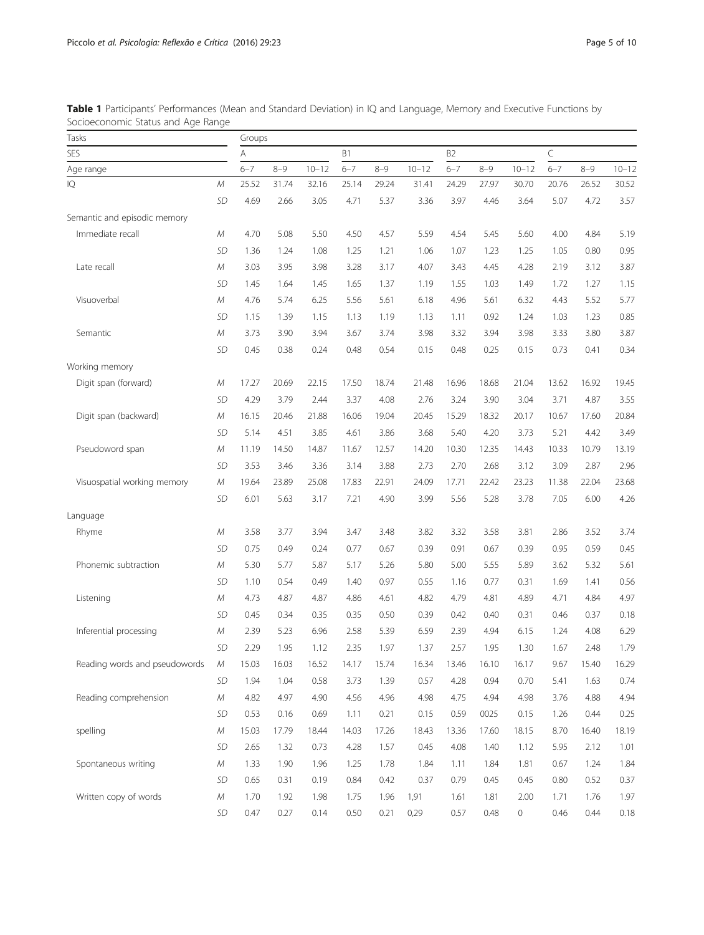| Tasks<br>SES<br>Age range     |            | Groups  |         |           |         |         |                |         |         |           |         |         |           |
|-------------------------------|------------|---------|---------|-----------|---------|---------|----------------|---------|---------|-----------|---------|---------|-----------|
|                               |            | Α       |         | <b>B1</b> |         |         | B <sub>2</sub> |         |         | C         |         |         |           |
|                               |            | $6 - 7$ | $8 - 9$ | $10 - 12$ | $6 - 7$ | $8 - 9$ | $10 - 12$      | $6 - 7$ | $8 - 9$ | $10 - 12$ | $6 - 7$ | $8 - 9$ | $10 - 12$ |
| IQ                            | М          | 25.52   | 31.74   | 32.16     | 25.14   | 29.24   | 31.41          | 24.29   | 27.97   | 30.70     | 20.76   | 26.52   | 30.52     |
|                               | <b>SD</b>  | 4.69    | 2.66    | 3.05      | 4.71    | 5.37    | 3.36           | 3.97    | 4.46    | 3.64      | 5.07    | 4.72    | 3.57      |
| Semantic and episodic memory  |            |         |         |           |         |         |                |         |         |           |         |         |           |
| Immediate recall              | М          | 4.70    | 5.08    | 5.50      | 4.50    | 4.57    | 5.59           | 4.54    | 5.45    | 5.60      | 4.00    | 4.84    | 5.19      |
|                               | <b>SD</b>  | 1.36    | 1.24    | 1.08      | 1.25    | 1.21    | 1.06           | 1.07    | 1.23    | 1.25      | 1.05    | 0.80    | 0.95      |
| Late recall                   | М          | 3.03    | 3.95    | 3.98      | 3.28    | 3.17    | 4.07           | 3.43    | 4.45    | 4.28      | 2.19    | 3.12    | 3.87      |
|                               | SD         | 1.45    | 1.64    | 1.45      | 1.65    | 1.37    | 1.19           | 1.55    | 1.03    | 1.49      | 1.72    | 1.27    | 1.15      |
| Visuoverbal                   | М          | 4.76    | 5.74    | 6.25      | 5.56    | 5.61    | 6.18           | 4.96    | 5.61    | 6.32      | 4.43    | 5.52    | 5.77      |
|                               | SD         | 1.15    | 1.39    | 1.15      | 1.13    | 1.19    | 1.13           | 1.11    | 0.92    | 1.24      | 1.03    | 1.23    | 0.85      |
| Semantic                      | М          | 3.73    | 3.90    | 3.94      | 3.67    | 3.74    | 3.98           | 3.32    | 3.94    | 3.98      | 3.33    | 3.80    | 3.87      |
|                               | <b>SD</b>  | 0.45    | 0.38    | 0.24      | 0.48    | 0.54    | 0.15           | 0.48    | 0.25    | 0.15      | 0.73    | 0.41    | 0.34      |
| Working memory                |            |         |         |           |         |         |                |         |         |           |         |         |           |
| Digit span (forward)          | М          | 17.27   | 20.69   | 22.15     | 17.50   | 18.74   | 21.48          | 16.96   | 18.68   | 21.04     | 13.62   | 16.92   | 19.45     |
|                               | SD         | 4.29    | 3.79    | 2.44      | 3.37    | 4.08    | 2.76           | 3.24    | 3.90    | 3.04      | 3.71    | 4.87    | 3.55      |
| Digit span (backward)         | М          | 16.15   | 20.46   | 21.88     | 16.06   | 19.04   | 20.45          | 15.29   | 18.32   | 20.17     | 10.67   | 17.60   | 20.84     |
|                               | <b>SD</b>  | 5.14    | 4.51    | 3.85      | 4.61    | 3.86    | 3.68           | 5.40    | 4.20    | 3.73      | 5.21    | 4.42    | 3.49      |
| Pseudoword span               | М          | 11.19   | 14.50   | 14.87     | 11.67   | 12.57   | 14.20          | 10.30   | 12.35   | 14.43     | 10.33   | 10.79   | 13.19     |
|                               | <b>SD</b>  | 3.53    | 3.46    | 3.36      | 3.14    | 3.88    | 2.73           | 2.70    | 2.68    | 3.12      | 3.09    | 2.87    | 2.96      |
| Visuospatial working memory   | М          | 19.64   | 23.89   | 25.08     | 17.83   | 22.91   | 24.09          | 17.71   | 22.42   | 23.23     | 11.38   | 22.04   | 23.68     |
|                               | <b>SD</b>  | 6.01    | 5.63    | 3.17      | 7.21    | 4.90    | 3.99           | 5.56    | 5.28    | 3.78      | 7.05    | 6.00    | 4.26      |
| Language                      |            |         |         |           |         |         |                |         |         |           |         |         |           |
| Rhyme                         | М          | 3.58    | 3.77    | 3.94      | 3.47    | 3.48    | 3.82           | 3.32    | 3.58    | 3.81      | 2.86    | 3.52    | 3.74      |
|                               | <b>SD</b>  | 0.75    | 0.49    | 0.24      | 0.77    | 0.67    | 0.39           | 0.91    | 0.67    | 0.39      | 0.95    | 0.59    | 0.45      |
| Phonemic subtraction          | М          | 5.30    | 5.77    | 5.87      | 5.17    | 5.26    | 5.80           | 5.00    | 5.55    | 5.89      | 3.62    | 5.32    | 5.61      |
|                               | SD         | 1.10    | 0.54    | 0.49      | 1.40    | 0.97    | 0.55           | 1.16    | 0.77    | 0.31      | 1.69    | 1.41    | 0.56      |
| Listening                     | М          | 4.73    | 4.87    | 4.87      | 4.86    | 4.61    | 4.82           | 4.79    | 4.81    | 4.89      | 4.71    | 4.84    | 4.97      |
|                               | <b>SD</b>  | 0.45    | 0.34    | 0.35      | 0.35    | 0.50    | 0.39           | 0.42    | 0.40    | 0.31      | 0.46    | 0.37    | 0.18      |
| Inferential processing        | М          | 2.39    | 5.23    | 6.96      | 2.58    | 5.39    | 6.59           | 2.39    | 4.94    | 6.15      | 1.24    | 4.08    | 6.29      |
|                               | SD         | 2.29    | 1.95    | 1.12      | 2.35    | 1.97    | 1.37           | 2.57    | 1.95    | 1.30      | 1.67    | 2.48    | 1.79      |
| Reading words and pseudowords | М          | 15.03   | 16.03   | 16.52     | 14.17   | 15.74   | 16.34          | 13.46   | 16.10   | 16.17     | 9.67    | 15.40   | 16.29     |
|                               | <b>SD</b>  | 1.94    | 1.04    | 0.58      | 3.73    | 1.39    | 0.57           | 4.28    | 0.94    | 0.70      | 5.41    | 1.63    | 0.74      |
| Reading comprehension         | ${\cal M}$ | 4.82    | 4.97    | 4.90      | 4.56    | 4.96    | 4.98           | 4.75    | 4.94    | 4.98      | 3.76    | 4.88    | 4.94      |
|                               | <b>SD</b>  | 0.53    | 0.16    | 0.69      | 1.11    | 0.21    | 0.15           | 0.59    | 0025    | 0.15      | 1.26    | 0.44    | 0.25      |
| spelling                      | ${\cal M}$ | 15.03   | 17.79   | 18.44     | 14.03   | 17.26   | 18.43          | 13.36   | 17.60   | 18.15     | 8.70    | 16.40   | 18.19     |
|                               | <b>SD</b>  | 2.65    | 1.32    | 0.73      | 4.28    | 1.57    | 0.45           | 4.08    | 1.40    | 1.12      | 5.95    | 2.12    | 1.01      |
| Spontaneous writing           | М          | 1.33    | 1.90    | 1.96      | 1.25    | 1.78    | 1.84           | 1.11    | 1.84    | 1.81      | 0.67    | 1.24    | 1.84      |
|                               | <b>SD</b>  | 0.65    | 0.31    | 0.19      | 0.84    | 0.42    | 0.37           | 0.79    | 0.45    | 0.45      | 0.80    | 0.52    | 0.37      |
| Written copy of words         | ${\cal M}$ | 1.70    | 1.92    | 1.98      | 1.75    | 1.96    | 1,91           | 1.61    | 1.81    | 2.00      | 1.71    | 1.76    | 1.97      |
|                               | SD         | 0.47    | 0.27    | 0.14      | 0.50    | 0.21    | 0,29           | 0.57    | 0.48    | 0         | 0.46    | 0.44    | 0.18      |

<span id="page-4-0"></span>Table 1 Participants' Performances (Mean and Standard Deviation) in IQ and Language, Memory and Executive Functions by Socioeconomic Status and Age Range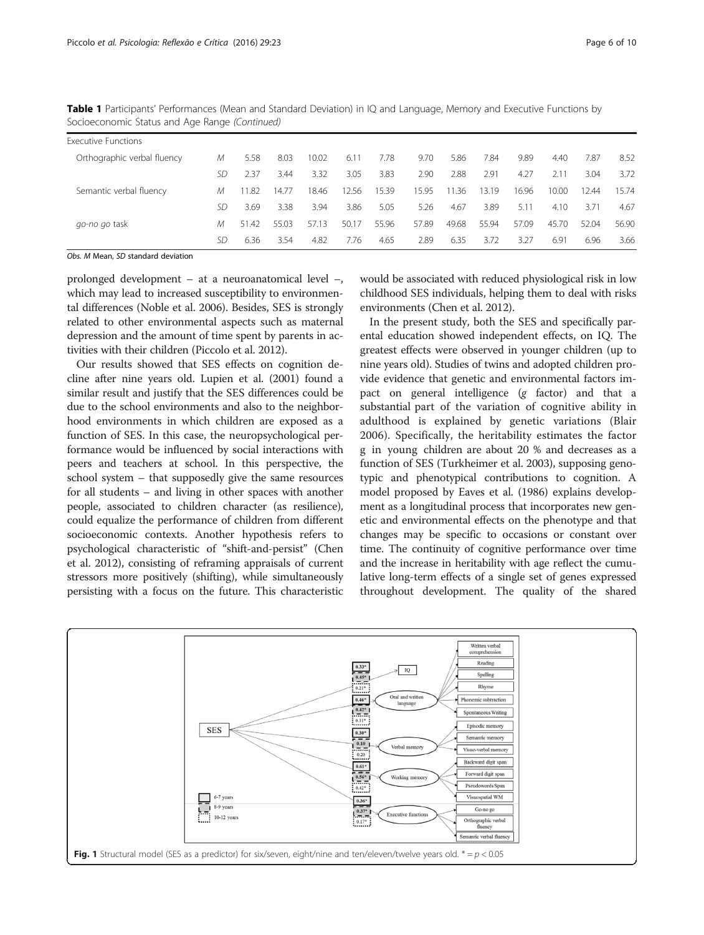| <b>Executive Functions</b>  |    |       |       |       |       |       |       |       |       |       |       |       |       |
|-----------------------------|----|-------|-------|-------|-------|-------|-------|-------|-------|-------|-------|-------|-------|
| Orthographic verbal fluency | М  | 5.58  | 8.03  | 10.02 | 6.11  | 7.78  | 9.70  | 5.86  | 7.84  | 9.89  | 4.40  | 7.87  | 8.52  |
|                             | SD | 2.37  | 3.44  | 3.32  | 3.05  | 3.83  | 2.90  | 2.88  | 2.91  | 4.27  | 2.11  | 3.04  | 3.72  |
| Semantic verbal fluency     | М  | 11.82 | 14.77 | 18.46 | 12.56 | 15.39 | 15.95 | 1.36  | 13.19 | 16.96 | 10.00 | 12.44 | 15.74 |
|                             | SD | 3.69  | 3.38  | 3.94  | 3.86  | 5.05  | 5.26  | 4.67  | 3.89  | 5.11  | 4.10  | 3.71  | 4.67  |
| go-no go task               | М  | 51.42 | 55.03 | 57.13 | 50.17 | 55.96 | 57.89 | 49.68 | 55.94 | 57.09 | 45.70 | 52.04 | 56.90 |
|                             | SD | 6.36  | 3.54  | 4.82  | 7.76  | 4.65  | 2.89  | 6.35  | 3.72  | 3.27  | 6.91  | 6.96  | 3.66  |

<span id="page-5-0"></span>Table 1 Participants' Performances (Mean and Standard Deviation) in IQ and Language, Memory and Executive Functions by Socioeconomic Status and Age Range (Continued)

Obs. M Mean, SD standard deviation

prolonged development – at a neuroanatomical level –, which may lead to increased susceptibility to environmental differences (Noble et al. [2006\)](#page-9-0). Besides, SES is strongly related to other environmental aspects such as maternal depression and the amount of time spent by parents in activities with their children (Piccolo et al. [2012\)](#page-9-0).

Our results showed that SES effects on cognition decline after nine years old. Lupien et al. ([2001](#page-9-0)) found a similar result and justify that the SES differences could be due to the school environments and also to the neighborhood environments in which children are exposed as a function of SES. In this case, the neuropsychological performance would be influenced by social interactions with peers and teachers at school. In this perspective, the school system – that supposedly give the same resources for all students – and living in other spaces with another people, associated to children character (as resilience), could equalize the performance of children from different socioeconomic contexts. Another hypothesis refers to psychological characteristic of "shift-and-persist" (Chen et al. [2012\)](#page-8-0), consisting of reframing appraisals of current stressors more positively (shifting), while simultaneously persisting with a focus on the future. This characteristic would be associated with reduced physiological risk in low childhood SES individuals, helping them to deal with risks environments (Chen et al. [2012](#page-8-0)).

In the present study, both the SES and specifically parental education showed independent effects, on IQ. The greatest effects were observed in younger children (up to nine years old). Studies of twins and adopted children provide evidence that genetic and environmental factors impact on general intelligence (g factor) and that a substantial part of the variation of cognitive ability in adulthood is explained by genetic variations (Blair [2006\)](#page-8-0). Specifically, the heritability estimates the factor g in young children are about 20 % and decreases as a function of SES (Turkheimer et al. [2003\)](#page-9-0), supposing genotypic and phenotypical contributions to cognition. A model proposed by Eaves et al. [\(1986\)](#page-8-0) explains development as a longitudinal process that incorporates new genetic and environmental effects on the phenotype and that changes may be specific to occasions or constant over time. The continuity of cognitive performance over time and the increase in heritability with age reflect the cumulative long-term effects of a single set of genes expressed throughout development. The quality of the shared

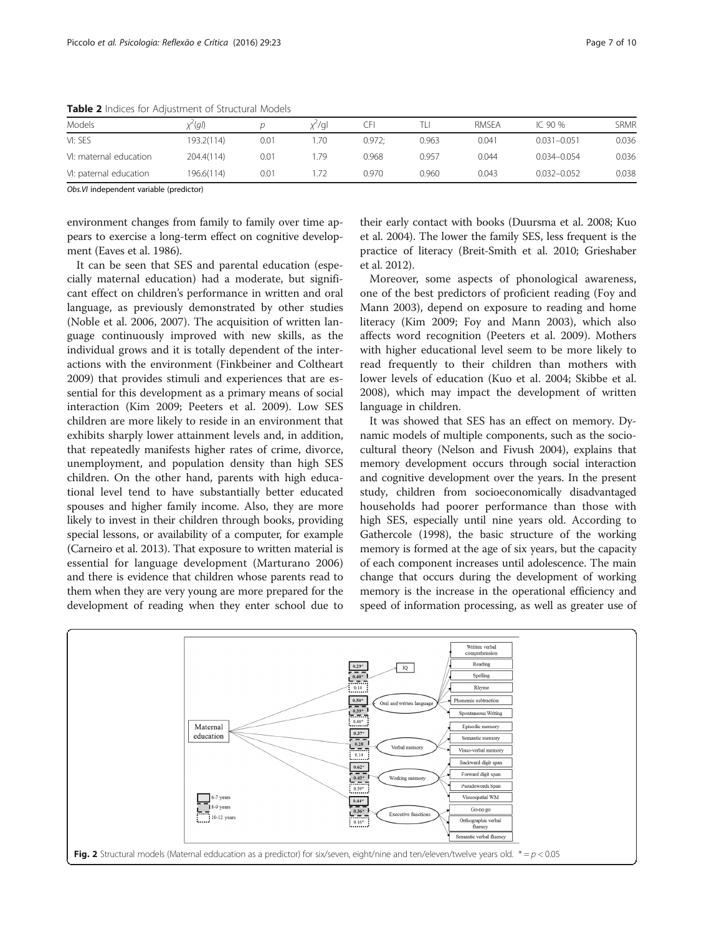| Models                 | x^(gl)     |      | x"∕ql | J۳     |       | <b>RMSEA</b> | IC 90 %         | SRMR  |
|------------------------|------------|------|-------|--------|-------|--------------|-----------------|-------|
| VI: SES                | 193.2(114) | 0.01 | .70   | 0.972: | 0.963 | 0.041        | $0.031 - 0.051$ | 0.036 |
| VI: maternal education | 204.4(114) | 0.01 | 79    | 0.968  | 0.957 | 0.044        | $0.034 - 0.054$ | 0.036 |
| VI: paternal education | 196.6(114) | 0.01 |       | 0.970  | 0.960 | 0.043        | $0.032 - 0.052$ | 0.038 |

<span id="page-6-0"></span>Table 2 Indices for Adjustment of Structural Models

Obs.VI independent variable (predictor)

environment changes from family to family over time appears to exercise a long-term effect on cognitive development (Eaves et al. [1986\)](#page-8-0).

It can be seen that SES and parental education (especially maternal education) had a moderate, but significant effect on children's performance in written and oral language, as previously demonstrated by other studies (Noble et al. [2006](#page-9-0), [2007](#page-9-0)). The acquisition of written language continuously improved with new skills, as the individual grows and it is totally dependent of the interactions with the environment (Finkbeiner and Coltheart [2009](#page-8-0)) that provides stimuli and experiences that are essential for this development as a primary means of social interaction (Kim [2009;](#page-9-0) Peeters et al. [2009](#page-9-0)). Low SES children are more likely to reside in an environment that exhibits sharply lower attainment levels and, in addition, that repeatedly manifests higher rates of crime, divorce, unemployment, and population density than high SES children. On the other hand, parents with high educational level tend to have substantially better educated spouses and higher family income. Also, they are more likely to invest in their children through books, providing special lessons, or availability of a computer, for example (Carneiro et al. [2013\)](#page-8-0). That exposure to written material is essential for language development (Marturano [2006](#page-9-0)) and there is evidence that children whose parents read to them when they are very young are more prepared for the development of reading when they enter school due to

their early contact with books (Duursma et al. [2008](#page-8-0); Kuo et al. [2004](#page-9-0)). The lower the family SES, less frequent is the practice of literacy (Breit-Smith et al. [2010;](#page-8-0) Grieshaber et al. [2012](#page-8-0)).

Moreover, some aspects of phonological awareness, one of the best predictors of proficient reading (Foy and Mann [2003\)](#page-8-0), depend on exposure to reading and home literacy (Kim [2009](#page-9-0); Foy and Mann [2003](#page-8-0)), which also affects word recognition (Peeters et al. [2009](#page-9-0)). Mothers with higher educational level seem to be more likely to read frequently to their children than mothers with lower levels of education (Kuo et al. [2004](#page-9-0); Skibbe et al. [2008](#page-9-0)), which may impact the development of written language in children.

It was showed that SES has an effect on memory. Dynamic models of multiple components, such as the sociocultural theory (Nelson and Fivush [2004\)](#page-9-0), explains that memory development occurs through social interaction and cognitive development over the years. In the present study, children from socioeconomically disadvantaged households had poorer performance than those with high SES, especially until nine years old. According to Gathercole (1998), the basic structure of the working memory is formed at the age of six years, but the capacity of each component increases until adolescence. The main change that occurs during the development of working memory is the increase in the operational efficiency and speed of information processing, as well as greater use of

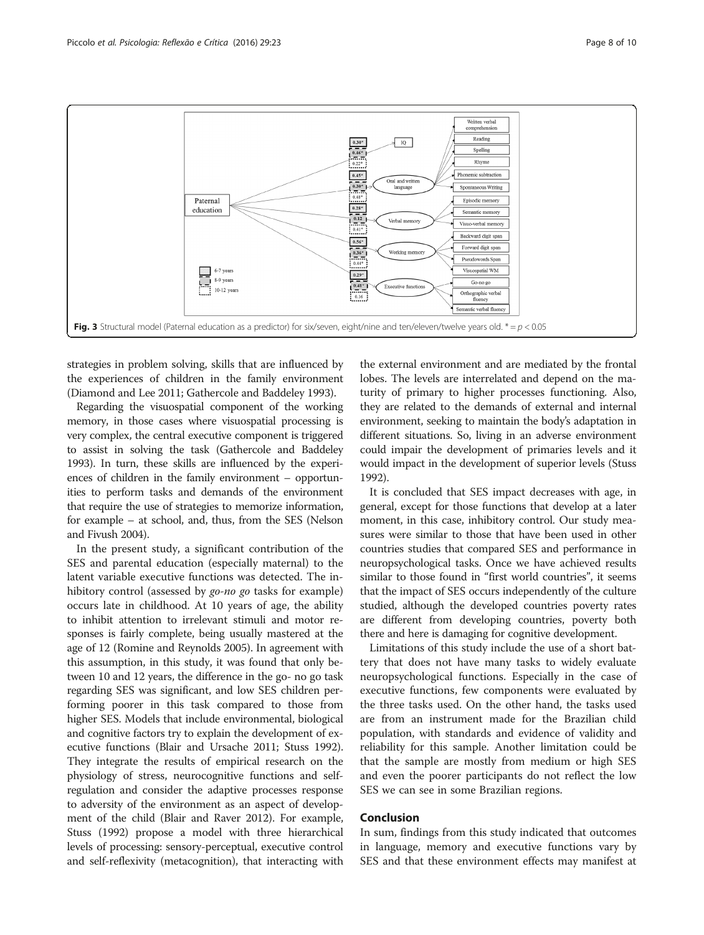<span id="page-7-0"></span>

strategies in problem solving, skills that are influenced by the experiences of children in the family environment (Diamond and Lee [2011](#page-8-0); Gathercole and Baddeley [1993](#page-8-0)).

Regarding the visuospatial component of the working memory, in those cases where visuospatial processing is very complex, the central executive component is triggered to assist in solving the task (Gathercole and Baddeley [1993\)](#page-8-0). In turn, these skills are influenced by the experiences of children in the family environment – opportunities to perform tasks and demands of the environment that require the use of strategies to memorize information, for example – at school, and, thus, from the SES (Nelson and Fivush [2004](#page-9-0)).

In the present study, a significant contribution of the SES and parental education (especially maternal) to the latent variable executive functions was detected. The inhibitory control (assessed by *go-no go* tasks for example) occurs late in childhood. At 10 years of age, the ability to inhibit attention to irrelevant stimuli and motor responses is fairly complete, being usually mastered at the age of 12 (Romine and Reynolds [2005\)](#page-9-0). In agreement with this assumption, in this study, it was found that only between 10 and 12 years, the difference in the go- no go task regarding SES was significant, and low SES children performing poorer in this task compared to those from higher SES. Models that include environmental, biological and cognitive factors try to explain the development of executive functions (Blair and Ursache [2011;](#page-8-0) Stuss [1992](#page-9-0)). They integrate the results of empirical research on the physiology of stress, neurocognitive functions and selfregulation and consider the adaptive processes response to adversity of the environment as an aspect of development of the child (Blair and Raver [2012](#page-8-0)). For example, Stuss [\(1992\)](#page-9-0) propose a model with three hierarchical levels of processing: sensory-perceptual, executive control and self-reflexivity (metacognition), that interacting with

the external environment and are mediated by the frontal lobes. The levels are interrelated and depend on the maturity of primary to higher processes functioning. Also, they are related to the demands of external and internal environment, seeking to maintain the body's adaptation in different situations. So, living in an adverse environment could impair the development of primaries levels and it would impact in the development of superior levels (Stuss [1992\)](#page-9-0).

It is concluded that SES impact decreases with age, in general, except for those functions that develop at a later moment, in this case, inhibitory control. Our study measures were similar to those that have been used in other countries studies that compared SES and performance in neuropsychological tasks. Once we have achieved results similar to those found in "first world countries", it seems that the impact of SES occurs independently of the culture studied, although the developed countries poverty rates are different from developing countries, poverty both there and here is damaging for cognitive development.

Limitations of this study include the use of a short battery that does not have many tasks to widely evaluate neuropsychological functions. Especially in the case of executive functions, few components were evaluated by the three tasks used. On the other hand, the tasks used are from an instrument made for the Brazilian child population, with standards and evidence of validity and reliability for this sample. Another limitation could be that the sample are mostly from medium or high SES and even the poorer participants do not reflect the low SES we can see in some Brazilian regions.

#### Conclusion

In sum, findings from this study indicated that outcomes in language, memory and executive functions vary by SES and that these environment effects may manifest at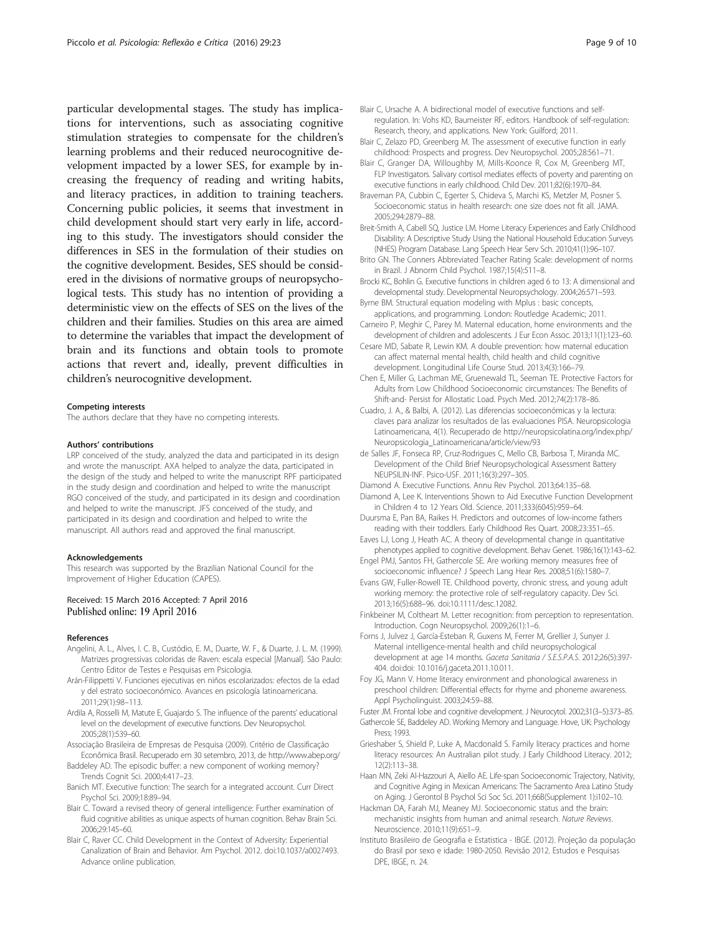<span id="page-8-0"></span>particular developmental stages. The study has implications for interventions, such as associating cognitive stimulation strategies to compensate for the children's learning problems and their reduced neurocognitive development impacted by a lower SES, for example by increasing the frequency of reading and writing habits, and literacy practices, in addition to training teachers. Concerning public policies, it seems that investment in child development should start very early in life, according to this study. The investigators should consider the differences in SES in the formulation of their studies on the cognitive development. Besides, SES should be considered in the divisions of normative groups of neuropsychological tests. This study has no intention of providing a deterministic view on the effects of SES on the lives of the children and their families. Studies on this area are aimed to determine the variables that impact the development of brain and its functions and obtain tools to promote actions that revert and, ideally, prevent difficulties in children's neurocognitive development.

#### Competing interests

The authors declare that they have no competing interests.

#### Authors' contributions

LRP conceived of the study, analyzed the data and participated in its design and wrote the manuscript. AXA helped to analyze the data, participated in the design of the study and helped to write the manuscript RPF participated in the study design and coordination and helped to write the manuscript RGO conceived of the study, and participated in its design and coordination and helped to write the manuscript. JFS conceived of the study, and participated in its design and coordination and helped to write the manuscript. All authors read and approved the final manuscript.

#### Acknowledgements

This research was supported by the Brazilian National Council for the Improvement of Higher Education (CAPES).

#### Received: 15 March 2016 Accepted: 7 April 2016 Published online: 19 April 2016

#### References

- Angelini, A. L., Alves, I. C. B., Custódio, E. M., Duarte, W. F., & Duarte, J. L. M. (1999). Matrizes progressivas coloridas de Raven: escala especial [Manual]. São Paulo: Centro Editor de Testes e Pesquisas em Psicologia.
- Arán-Filippetti V. Funciones ejecutivas en niños escolarizados: efectos de la edad y del estrato socioeconómico. Avances en psicología latinoamericana. 2011;29(1):98–113.
- Ardila A, Rosselli M, Matute E, Guajardo S. The influence of the parents' educational level on the development of executive functions. Dev Neuropsychol. 2005;28(1):539–60.
- Associação Brasileira de Empresas de Pesquisa (2009). Critério de Classificação Econômica Brasil. Recuperado em 30 setembro, 2013, de<http://www.abep.org/>
- Baddeley AD. The episodic buffer: a new component of working memory? Trends Cognit Sci. 2000;4:417–23.
- Banich MT. Executive function: The search for a integrated account. Curr Direct Psychol Sci. 2009;18:89–94.
- Blair C. Toward a revised theory of general intelligence: Further examination of fluid cognitive abilities as unique aspects of human cognition. Behav Brain Sci. 2006;29:145–60.
- Blair C, Raver CC. Child Development in the Context of Adversity: Experiential Canalization of Brain and Behavior. Am Psychol. 2012. doi[:10.1037/a0027493](http://dx.doi.org/10.1037/a0027493). Advance online publication.
- Blair C, Ursache A. A bidirectional model of executive functions and selfregulation. In: Vohs KD, Baumeister RF, editors. Handbook of self-regulation: Research, theory, and applications. New York: Guilford; 2011.
- Blair C, Zelazo PD, Greenberg M. The assessment of executive function in early childhood: Prospects and progress. Dev Neuropsychol. 2005;28:561–71.
- Blair C, Granger DA, Willoughby M, Mills-Koonce R, Cox M, Greenberg MT, FLP Investigators. Salivary cortisol mediates effects of poverty and parenting on executive functions in early childhood. Child Dev. 2011;82(6):1970–84.
- Braveman PA, Cubbin C, Egerter S, Chideva S, Marchi KS, Metzler M, Posner S. Socioeconomic status in health research: one size does not fit all. JAMA. 2005;294:2879–88.
- Breit-Smith A, Cabell SQ, Justice LM. Home Literacy Experiences and Early Childhood Disability: A Descriptive Study Using the National Household Education Surveys (NHES) Program Database. Lang Speech Hear Serv Sch. 2010;41(1):96–107.
- Brito GN. The Conners Abbreviated Teacher Rating Scale: development of norms in Brazil. J Abnorm Child Psychol. 1987;15(4):511–8.
- Brocki KC, Bohlin G. Executive functions in children aged 6 to 13: A dimensional and developmental study. Developmental Neuropsychology. 2004;26:571–593.
- Byrne BM. Structural equation modeling with Mplus : basic concepts, applications, and programming. London: Routledge Academic; 2011.
- Carneiro P, Meghir C, Parey M. Maternal education, home environments and the development of children and adolescents. J Eur Econ Assoc. 2013;11(1):123–60.
- Cesare MD, Sabate R, Lewin KM. A double prevention: how maternal education can affect maternal mental health, child health and child cognitive development. Longitudinal Life Course Stud. 2013;4(3):166–79.
- Chen E, Miller G, Lachman ME, Gruenewald TL, Seeman TE. Protective Factors for Adults from Low Childhood Socioeconomic circumstances: The Benefits of Shift-and- Persist for Allostatic Load. Psych Med. 2012;74(2):178–86.
- Cuadro, J. A., & Balbi, A. (2012). Las diferencias socioeconómicas y la lectura: claves para analizar los resultados de las evaluaciones PISA. Neuropsicologia Latinoamericana, 4(1). Recuperado de [http://neuropsicolatina.org/index.php/](http://neuropsicolatina.org/index.php/Neuropsicologia_Latinoamericana/article/view/93) [Neuropsicologia\\_Latinoamericana/article/view/93](http://neuropsicolatina.org/index.php/Neuropsicologia_Latinoamericana/article/view/93)
- de Salles JF, Fonseca RP, Cruz-Rodrigues C, Mello CB, Barbosa T, Miranda MC. Development of the Child Brief Neuropsychological Assessment Battery NEUPSILIN-INF. Psico-USF. 2011;16(3):297–305.
- Diamond A. Executive Functions. Annu Rev Psychol. 2013;64:135–68.
- Diamond A, Lee K. Interventions Shown to Aid Executive Function Development in Children 4 to 12 Years Old. Science. 2011;333(6045):959–64.
- Duursma E, Pan BA, Raikes H. Predictors and outcomes of low-income fathers reading with their toddlers. Early Childhood Res Quart. 2008;23:351–65.
- Eaves LJ, Long J, Heath AC. A theory of developmental change in quantitative phenotypes applied to cognitive development. Behav Genet. 1986;16(1):143–62.
- Engel PMJ, Santos FH, Gathercole SE. Are working memory measures free of socioeconomic influence? J Speech Lang Hear Res. 2008;51(6):1580–7.
- Evans GW, Fuller-Rowell TE. Childhood poverty, chronic stress, and young adult working memory: the protective role of self-regulatory capacity. Dev Sci. 2013;16(5):688–96. doi:[10.1111/desc.12082](http://dx.doi.org/10.1111/desc.12082).
- Finkbeiner M, Coltheart M. Letter recognition: from perception to representation. Introduction. Cogn Neuropsychol. 2009;26(1):1–6.
- Forns J, Julvez J, García-Esteban R, Guxens M, Ferrer M, Grellier J, Sunyer J. Maternal intelligence-mental health and child neuropsychological development at age 14 months. Gaceta Sanitaria / S.E.S.P.A.S. 2012;26(5):397- 404. doi:[doi: 10.1016/j.gaceta.2011.10.011.](http://dx.doi.org/10.1016/j.gaceta.2011.10.011)
- Foy JG, Mann V. Home literacy environment and phonological awareness in preschool children: Differential effects for rhyme and phoneme awareness. Appl Psycholinguist. 2003;24:59–88.

Fuster JM. Frontal lobe and cognitive development. J Neurocytol. 2002;31(3–5):373–85. Gathercole SE, Baddeley AD. Working Memory and Language. Hove, UK: Psychology Press; 1993.

- Grieshaber S, Shield P, Luke A, Macdonald S. Family literacy practices and home literacy resources: An Australian pilot study. J Early Childhood Literacy. 2012; 12(2):113–38.
- Haan MN, Zeki Al-Hazzouri A, Aiello AE. Life-span Socioeconomic Trajectory, Nativity, and Cognitive Aging in Mexican Americans: The Sacramento Area Latino Study on Aging. J Gerontol B Psychol Sci Soc Sci. 2011;66B(Supplement 1):i102–10.
- Hackman DA, Farah MJ, Meaney MJ. Socioeconomic status and the brain: mechanistic insights from human and animal research. Nature Reviews. Neuroscience. 2010;11(9):651–9.
- Instituto Brasileiro de Geografia e Estatistica IBGE. (2012). Projeção da população do Brasil por sexo e idade: 1980-2050. Revisão 2012. Estudos e Pesquisas DPE, IBGE, n. 24.